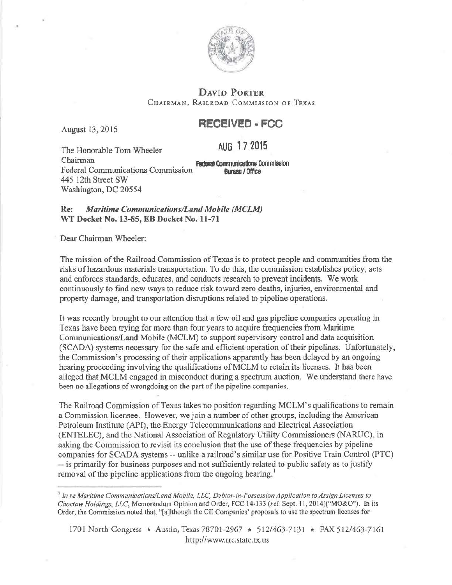

## DAVID PORTER CHAIRMAN, RAILROAD COMMISSION OF TEXAS

## August 13, 2015 **RECEIVED • FCC**

The Honorable Tom Wheeler AUG **l 7 2015 Chairman federal Communications Commission** Federal Communications Commission **Bureau/ Office**  445 12th Street SW Washington, DC 20554

Re: *Maritime Communications/Land Mobile (MCLM)*  WT Docket No. 13-85, EB Docket No. 11-71

Dear Chairman Wheeler:

The mission of the Railroad Commission of Texas is to protect people and communities from the risks of hazardous materials transportation. To do this, the commission establishes policy, sets and enforces standards, educates, and conducts research to prevent incidents. We work continuousJy to find new ways to reduce risk toward zero deaths, injuries, environmental and property damage, and transportation disruptions related to pipeline operations.

It was recently brought to our attention that a few oil and gas pipeline companies operating in Texas have been trying for more than four years to acquire frequencies from Maritime Communications/Land Mobile (MCLM) to support supervisory control and data acquisition (SCADA) systems necessary for the safe and efficient operation of their pipelines. Unfortunately, the Commission's processing of their applications apparently has been delayed by an ongoing hearing proceeding involving the qualifications of MCLM to retain its licenses. It has been alleged that MCLM engaged in misconduct during a spectrum auction. We understand there have been no allegations of wrongdoing on the part of the pipeline companies.

The Railroad Commission of Texas takes no position regarding MCLM's qualifications to remain a Commission licensee. However, we join a number of other groups, including the American Petroleum Institute (API), the Energy Telecommunications and Electrical Association (ENTELEC), and the National Association of Regulatory Utility Commissioners (NARUC), in asking the Commission to revisit its conclusion that the use of these frequencies by pipeline companies for SCADA systems -- unlike a railroad's similar use for Positive Train Control (PTC) -- is primarily for business purposes and not sufficiently related to public safety as to justify removal of the pipeline applications from the ongoing hearing.<sup>1</sup>

<sup>1</sup>*Jn re Maritime Communications/Land Mobile, LLC, Debtor-in-Possession Application to Assign Licenses to Choctaw Holdings. LLC,* Memorandum Opinion and Order, FCC 14-13 3 *(rel.* Sept. 11, 20 I 4 )("MO&O"). In its Order, the Commission noted that, "[a)lthough the CU Companies' proposals to use the spectrum licenses for

1701 North Congress \* Austin, Texas 78701-2967 \* 512/463-7131 \* FAX 512/463-7161 http://www.rrc.state.tx.us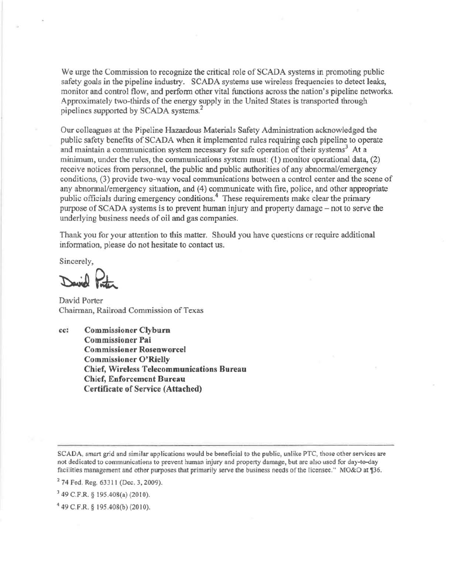We urge the Commission to recognize the critical role of SCADA systems in promoting public safety goals in the pipeline industry. SCADA systems use wireless frequencies to detect leaks, monitor and control flow, and perform other vital functions across the nation's pipeline networks. Approximately two-thirds of the energy supply in the United States is transported through pipelines supported by SCADA systems.<sup>2</sup>

Our colleagues at the Pipeline Hazardous Materials Safety Administration acknowledged the public safety benefits of SCADA when it implemented rules requiring each pipeline to operate and maintain a communication system necessary for safe operation of their systems<sup>3</sup> At a minimum, under the rules, the communications system must: (1) monitor operational data, (2) receive notices from personnel, the public and public authorities of any abnormal/emergency conditions, (3) provide two-way vocal communications between a control center and the scene of any abnormal/emergency situation, and (4) communicate with fire, police, and other appropriate public officials during emergency conditions.4 These requirements make clear the primary purpose of SCADA systems is to prevent human injury and property damage – not to serve the underlying business needs of oil and gas companies.

Thank you for your attention to this matter. Should you have questions or require additional information, please do not hesitate to contact us.

Sincerely,

David Protec

David Porter Chairman, Railroad Commission of Texas

cc: Commissioner Clyburn Commissioner Pai Commissioner Rosenworcel Commissioner O'Rielly Chief, Wireless Telecommunications Bureau Chief, Enforcement Bureau Certificate of Service (Attached)

SCADA, smart grid and similar applications would be beneficial to the public, unlike PTC, those other services are not dedicated to communications to prevent human injury and property damage, but are also used for day-to-day facilities management and other purposes that primarily serve the business needs of the licensee." MO&O at 136.

2 74 Fed. Reg. 63311 (Dec. 3, 2009).

3 49 C.F.R. § 195.408(a) (2010).

<sup>4</sup> 49C.F.R.§ 195.408(b)(2010}.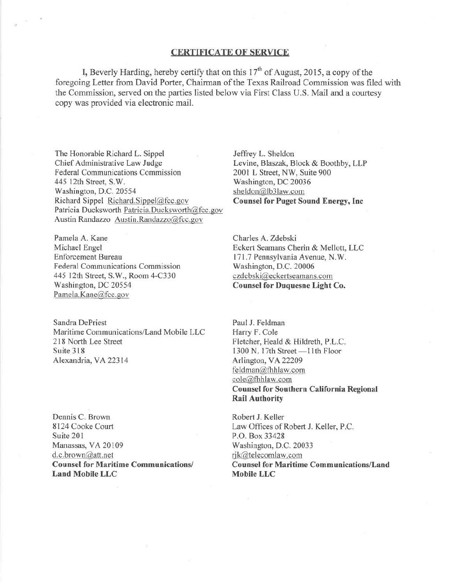## CERTIFICATE OF SERVICE

I, Beverly Harding, hereby certify that on this  $17<sup>th</sup>$  of August, 2015, a copy of the foregoing Letter from David Porter, Chairman of the Texas Railroad Commission was filed with the Commission, served on the parties listed below via First Class U.S. Mail and a courtesy copy was provided via electronic mail.

The Honorable Richard L. Sippel Chief Administrative Law Judge Federal Communications Commission 445 12th Street, S.W. Washington, D.C. 20554 Richard Sippel Richard.Sippel@fcc.gov Patricia Ducksworth Patricia.Ducksworth@fcc.gov Austin Randazzo Austin.Randazzo@fcc.gov

Pamela A. Kane Michael Engel Enforcement Bureau Federal Communications Commission 445 12th Street, S.W., Room 4-C330 Washington, DC 20554 Pamela.Kane@fcc.gov

Sandra DePriest Maritime Communications/Land Mobile LLC 218 North Lee Street Suite 318 Alexandria, VA 22314

Dennis C. Brown 8124 Cooke Court Suite 20 l Manassas, VA 20109 d.c.brown@att.net Counsel for Maritime Communications/ Land Mobile LLC

Jeffrey L. Sheldon Levine, Blaszak, Block & Boothby, LLP 2001 L Street, NW, Suite 900 Washington, DC 20036 sheldon@lb3law.com Counsel for Puget Sound Energy, Inc

Charles A. Zdebski Eckert Seamans Cherin & Mellott, LLC 171.7 Pennsylvania Avenue, N.W. Washington, D.C. 20006 czdebski@eckertseamans.com Counsel for Duquesne Light Co.

Paul J. Feldman Harry F. Cole Fletcher, Heald & Hildreth, P.L.C. 1300 N. 17th Street - 11th Floor Arlington, VA 22209 feldman@fhhlaw.com cole@fhhlaw.com Counsel for Southern California Regional Rail Authority

Robert J. Keller Law Offices of Robert J. Keller, P.C. P.O. Box 33428 Washington, D.C. 20033 rjk@telecomlaw.com Counsel for Maritime Communications/Land Mobile LLC